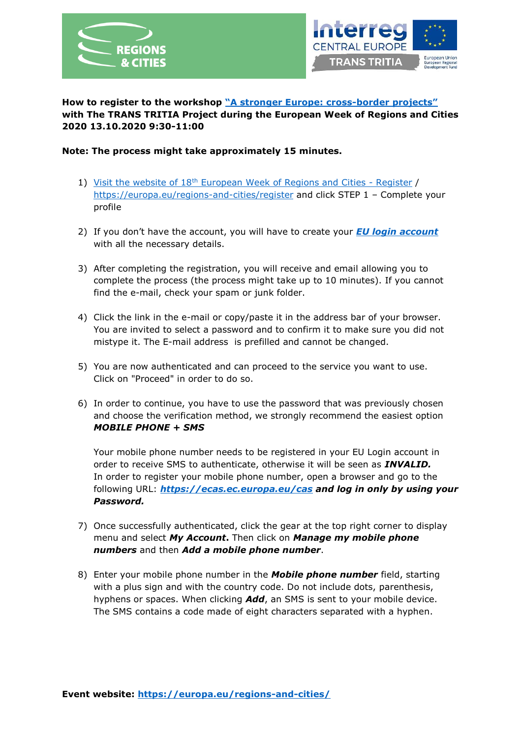



**How to register to the workshop "A [stronger Europe: cross-](https://europa.eu/regions-and-cities/programme/sessions/1584_en?fbclid=IwAR0s74d7H-0QufeVbAd9ICEet3mxvs1DSzdyLRPQ05CEWbKQdm-1d1XvLVo)border projects" with The TRANS TRITIA Project during the European Week of Regions and Cities 2020 13.10.2020 9:30-11:00**

## **Note: The process might take approximately 15 minutes.**

- 1) Visit the website of  $18<sup>th</sup>$  [European Week of Regions and Cities -](https://europa.eu/regions-and-cities/register) Register / <https://europa.eu/regions-and-cities/register> and click STEP 1 – Complete your profile
- 2) If you don't have the account, you will have to create your *[EU login account](https://ecas.ec.europa.eu/cas/eim/external/register.cgi?loginRequestId=ECAS_LR-13056052-p6KiQ1cfRU5yQabo93ynyPFghuPqGVzrezIkrg6GTCiRd5t8cI1RzHtDsr9TtYJzxAuK6BCf6fWQQC1LWiKCkki-rS0vSrmBGYCGlRpFufPy1y-WUrMC9JTbMi4lEDuJGnzVj5TRJBUqJV6LMzQjqdkuS8VKGnEfE6W1Zr3lxNfBgjE0zGYzzwUADmwrSo7vT8fGkY)* with all the necessary details.
- 3) After completing the registration, you will receive and email allowing you to complete the process (the process might take up to 10 minutes). If you cannot find the e-mail, check your spam or junk folder.
- 4) Click the link in the e-mail or copy/paste it in the address bar of your browser. You are invited to select a password and to confirm it to make sure you did not mistype it. The E-mail address is prefilled and cannot be changed.
- 5) You are now authenticated and can proceed to the service you want to use. Click on "Proceed" in order to do so.
- 6) In order to continue, you have to use the password that was previously chosen and choose the verification method, we strongly recommend the easiest option *MOBILE PHONE + SMS*

Your mobile phone number needs to be registered in your EU Login account in order to receive SMS to authenticate, otherwise it will be seen as *INVALID.* In order to register your mobile phone number, open a browser and go to the following URL: *<https://ecas.ec.europa.eu/cas> and log in only by using your Password.*

- 7) Once successfully authenticated, click the gear at the top right corner to display menu and select *My Account***.** Then click on *Manage my mobile phone numbers* and then *Add a mobile phone number*.
- 8) Enter your mobile phone number in the *Mobile phone number* field, starting with a plus sign and with the country code. Do not include dots, parenthesis, hyphens or spaces. When clicking *Add*, an SMS is sent to your mobile device. The SMS contains a code made of eight characters separated with a hyphen.